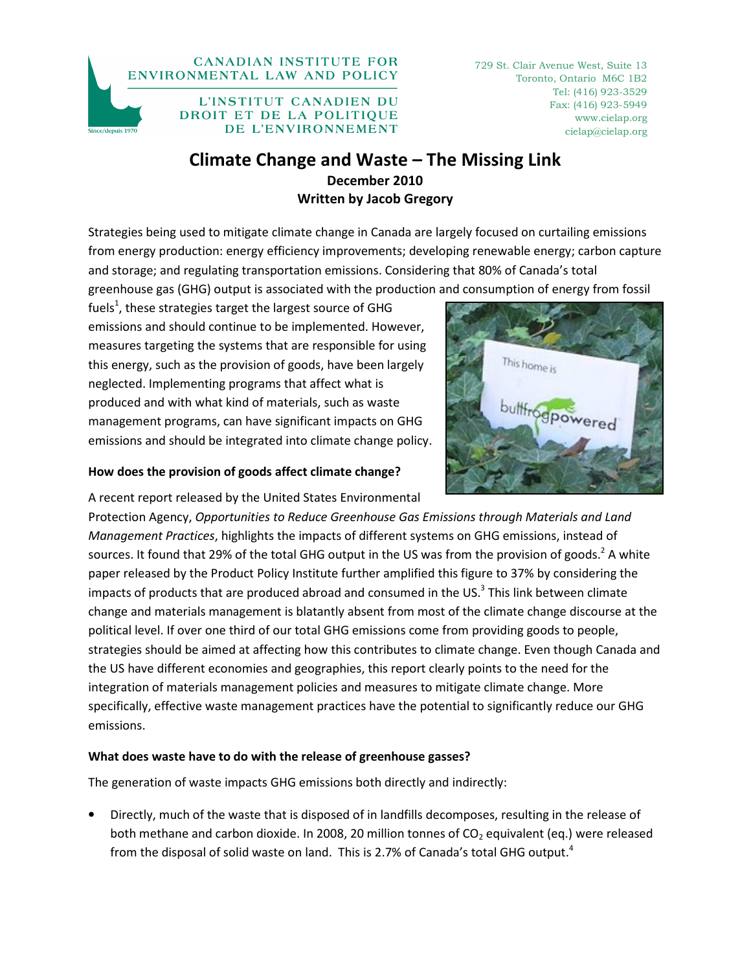#### **CANADIAN INSTITUTE FOR** ENVIRONMENTAL LAW AND POLICY



L'INSTITUT CANADIEN DU DROIT ET DE LA POLITIQUE DE L'ENVIRONNEMENT

729 St. Clair Avenue West, Suite 13 Toronto, Ontario M6C 1B2 Tel: (416) 923-3529 Fax: (416) 923-5949 www.cielap.org cielap@cielap.org

# Climate Change and Waste – The Missing Link December 2010 Written by Jacob Gregory

Strategies being used to mitigate climate change in Canada are largely focused on curtailing emissions from energy production: energy efficiency improvements; developing renewable energy; carbon capture and storage; and regulating transportation emissions. Considering that 80% of Canada's total greenhouse gas (GHG) output is associated with the production and consumption of energy from fossil

fuels<sup>1</sup>, these strategies target the largest source of GHG emissions and should continue to be implemented. However, measures targeting the systems that are responsible for using this energy, such as the provision of goods, have been largely neglected. Implementing programs that affect what is produced and with what kind of materials, such as waste management programs, can have significant impacts on GHG emissions and should be integrated into climate change policy.

### How does the provision of goods affect climate change?

A recent report released by the United States Environmental Protection Agency, Opportunities to Reduce Greenhouse Gas Emissions through Materials and Land Management Practices, highlights the impacts of different systems on GHG emissions, instead of sources. It found that 29% of the total GHG output in the US was from the provision of goods.<sup>2</sup> A white paper released by the Product Policy Institute further amplified this figure to 37% by considering the impacts of products that are produced abroad and consumed in the US.<sup>3</sup> This link between climate change and materials management is blatantly absent from most of the climate change discourse at the political level. If over one third of our total GHG emissions come from providing goods to people, strategies should be aimed at affecting how this contributes to climate change. Even though Canada and the US have different economies and geographies, this report clearly points to the need for the integration of materials management policies and measures to mitigate climate change. More specifically, effective waste management practices have the potential to significantly reduce our GHG emissions.

# What does waste have to do with the release of greenhouse gasses?

The generation of waste impacts GHG emissions both directly and indirectly:

• Directly, much of the waste that is disposed of in landfills decomposes, resulting in the release of both methane and carbon dioxide. In 2008, 20 million tonnes of  $CO<sub>2</sub>$  equivalent (eq.) were released from the disposal of solid waste on land. This is 2.7% of Canada's total GHG output.<sup>4</sup>

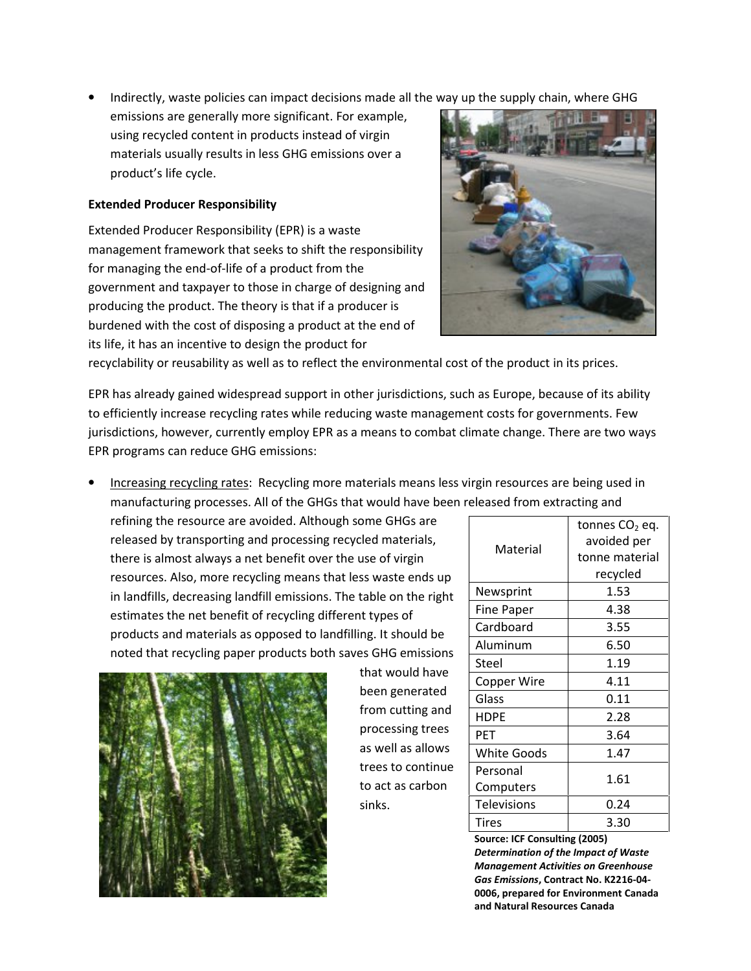• Indirectly, waste policies can impact decisions made all the way up the supply chain, where GHG

emissions are generally more significant. For example, using recycled content in products instead of virgin materials usually results in less GHG emissions over a product's life cycle.

#### Extended Producer Responsibility

Extended Producer Responsibility (EPR) is a waste management framework that seeks to shift the responsibility for managing the end-of-life of a product from the government and taxpayer to those in charge of designing and producing the product. The theory is that if a producer is burdened with the cost of disposing a product at the end of its life, it has an incentive to design the product for



recyclability or reusability as well as to reflect the environmental cost of the product in its prices.

EPR has already gained widespread support in other jurisdictions, such as Europe, because of its ability to efficiently increase recycling rates while reducing waste management costs for governments. Few jurisdictions, however, currently employ EPR as a means to combat climate change. There are two ways EPR programs can reduce GHG emissions:

• Increasing recycling rates: Recycling more materials means less virgin resources are being used in manufacturing processes. All of the GHGs that would have been released from extracting and

refining the resource are avoided. Although some GHGs are released by transporting and processing recycled materials, there is almost always a net benefit over the use of virgin resources. Also, more recycling means that less waste ends up in landfills, decreasing landfill emissions. The table on the right estimates the net benefit of recycling different types of products and materials as opposed to landfilling. It should be noted that recycling paper products both saves GHG emissions



that would have been generated from cutting and processing trees as well as allows trees to continue to act as carbon sinks.

| Material           | tonnes CO <sub>2</sub> eq. |
|--------------------|----------------------------|
|                    | avoided per                |
|                    | tonne material             |
|                    | recycled                   |
| Newsprint          | 1.53                       |
| <b>Fine Paper</b>  | 4.38                       |
| Cardboard          | 3.55                       |
| Aluminum           | 6.50                       |
| Steel              | 1.19                       |
| <b>Copper Wire</b> | 4.11                       |
| Glass              | 0.11                       |
| <b>HDPE</b>        | 2.28                       |
| <b>PFT</b>         | 3.64                       |
| <b>White Goods</b> | 1.47                       |
| Personal           | 1.61                       |
| Computers          |                            |
| <b>Televisions</b> | 0.24                       |
| <b>Tires</b>       | 3.30                       |

Source: ICF Consulting (2005) Determination of the Impact of Waste Management Activities on Greenhouse Gas Emissions, Contract No. K2216-04- 0006, prepared for Environment Canada and Natural Resources Canada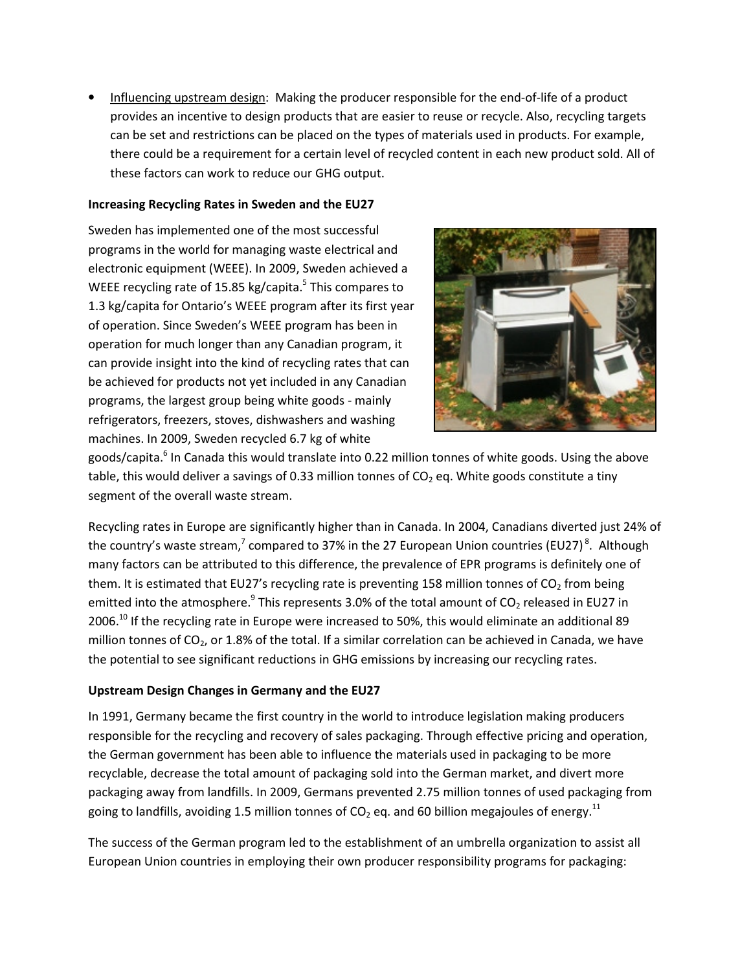• Influencing upstream design: Making the producer responsible for the end-of-life of a product provides an incentive to design products that are easier to reuse or recycle. Also, recycling targets can be set and restrictions can be placed on the types of materials used in products. For example, there could be a requirement for a certain level of recycled content in each new product sold. All of these factors can work to reduce our GHG output.

#### Increasing Recycling Rates in Sweden and the EU27

Sweden has implemented one of the most successful programs in the world for managing waste electrical and electronic equipment (WEEE). In 2009, Sweden achieved a WEEE recycling rate of 15.85 kg/capita.<sup>5</sup> This compares to 1.3 kg/capita for Ontario's WEEE program after its first year of operation. Since Sweden's WEEE program has been in operation for much longer than any Canadian program, it can provide insight into the kind of recycling rates that can be achieved for products not yet included in any Canadian programs, the largest group being white goods - mainly refrigerators, freezers, stoves, dishwashers and washing machines. In 2009, Sweden recycled 6.7 kg of white



goods/capita.<sup>6</sup> In Canada this would translate into 0.22 million tonnes of white goods. Using the above table, this would deliver a savings of 0.33 million tonnes of  $CO<sub>2</sub>$  eq. White goods constitute a tiny segment of the overall waste stream.

Recycling rates in Europe are significantly higher than in Canada. In 2004, Canadians diverted just 24% of the country's waste stream,<sup>7</sup> compared to 37% in the 27 European Union countries (EU27)<sup>8</sup>. Although many factors can be attributed to this difference, the prevalence of EPR programs is definitely one of them. It is estimated that EU27's recycling rate is preventing 158 million tonnes of  $CO<sub>2</sub>$  from being emitted into the atmosphere.<sup>9</sup> This represents 3.0% of the total amount of CO<sub>2</sub> released in EU27 in 2006.<sup>10</sup> If the recycling rate in Europe were increased to 50%, this would eliminate an additional 89 million tonnes of  $CO<sub>2</sub>$ , or 1.8% of the total. If a similar correlation can be achieved in Canada, we have the potential to see significant reductions in GHG emissions by increasing our recycling rates.

#### Upstream Design Changes in Germany and the EU27

In 1991, Germany became the first country in the world to introduce legislation making producers responsible for the recycling and recovery of sales packaging. Through effective pricing and operation, the German government has been able to influence the materials used in packaging to be more recyclable, decrease the total amount of packaging sold into the German market, and divert more packaging away from landfills. In 2009, Germans prevented 2.75 million tonnes of used packaging from going to landfills, avoiding 1.5 million tonnes of  $CO<sub>2</sub>$  eq. and 60 billion megajoules of energy.<sup>11</sup>

The success of the German program led to the establishment of an umbrella organization to assist all European Union countries in employing their own producer responsibility programs for packaging: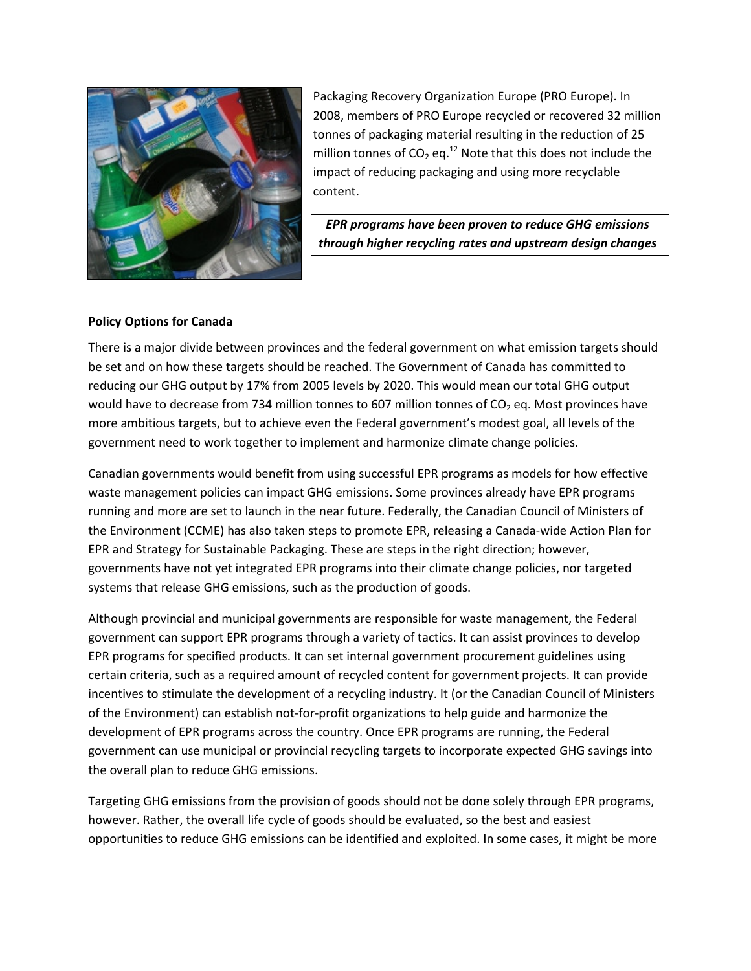

Packaging Recovery Organization Europe (PRO Europe). In 2008, members of PRO Europe recycled or recovered 32 million tonnes of packaging material resulting in the reduction of 25 million tonnes of  $CO<sub>2</sub>$  eq.<sup>12</sup> Note that this does not include the impact of reducing packaging and using more recyclable content.

EPR programs have been proven to reduce GHG emissions through higher recycling rates and upstream design changes

#### Policy Options for Canada

There is a major divide between provinces and the federal government on what emission targets should be set and on how these targets should be reached. The Government of Canada has committed to reducing our GHG output by 17% from 2005 levels by 2020. This would mean our total GHG output would have to decrease from 734 million tonnes to 607 million tonnes of CO<sub>2</sub> eq. Most provinces have more ambitious targets, but to achieve even the Federal government's modest goal, all levels of the government need to work together to implement and harmonize climate change policies.

Canadian governments would benefit from using successful EPR programs as models for how effective waste management policies can impact GHG emissions. Some provinces already have EPR programs running and more are set to launch in the near future. Federally, the Canadian Council of Ministers of the Environment (CCME) has also taken steps to promote EPR, releasing a Canada-wide Action Plan for EPR and Strategy for Sustainable Packaging. These are steps in the right direction; however, governments have not yet integrated EPR programs into their climate change policies, nor targeted systems that release GHG emissions, such as the production of goods.

Although provincial and municipal governments are responsible for waste management, the Federal government can support EPR programs through a variety of tactics. It can assist provinces to develop EPR programs for specified products. It can set internal government procurement guidelines using certain criteria, such as a required amount of recycled content for government projects. It can provide incentives to stimulate the development of a recycling industry. It (or the Canadian Council of Ministers of the Environment) can establish not-for-profit organizations to help guide and harmonize the development of EPR programs across the country. Once EPR programs are running, the Federal government can use municipal or provincial recycling targets to incorporate expected GHG savings into the overall plan to reduce GHG emissions.

Targeting GHG emissions from the provision of goods should not be done solely through EPR programs, however. Rather, the overall life cycle of goods should be evaluated, so the best and easiest opportunities to reduce GHG emissions can be identified and exploited. In some cases, it might be more